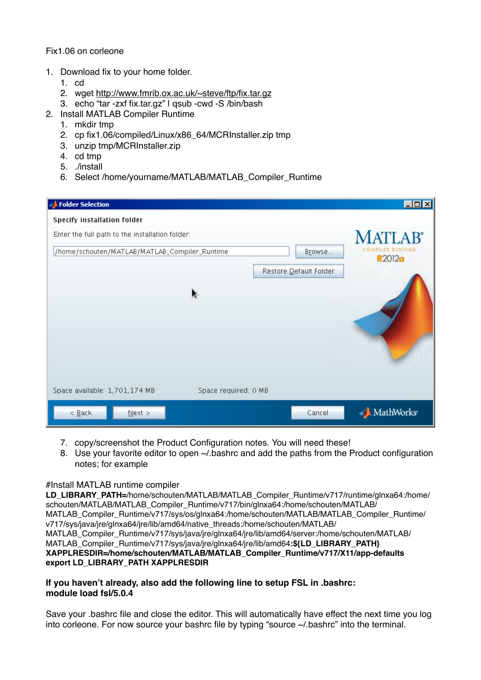Fix1.06 on corleone

- 1. Download fix to your home folder.
	- 1. cd
	- 2. wget <http://www.fmrib.ox.ac.uk/~steve/ftp/fix.tar.gz>
	- 3. echo "tar -zxf fix.tar.gz" | qsub -cwd -S /bin/bash
- 2. Install MATLAB Compiler Runtime
	- 1. mkdir tmp
	- 2. cp fix1.06/compiled/Linux/x86\_64/MCRInstaller.zip tmp
	- 3. unzip tmp/MCRInstaller.zip
	- 4. cd tmp
	- 5. ./install
	- 6. Select /home/yourname/MATLAB/MATLAB\_Compiler\_Runtime

| Folder Selection                                        | $\Box$ olx                        |
|---------------------------------------------------------|-----------------------------------|
| Specify installation folder                             |                                   |
| Enter the full path to the installation folder:         | <b>MATLAR®</b>                    |
| /home/schouten/MATLAB/MATLAB_Compiler_Runtime<br>Browse | COMPILER RUNTIME<br><b>R2012a</b> |
| Restore Default Folder                                  |                                   |
| a.                                                      |                                   |
|                                                         |                                   |
|                                                         |                                   |
|                                                         |                                   |
|                                                         |                                   |
| Space required: 0 MB<br>Space available: 1,701,174 MB   |                                   |
| $\leq \underline{\mathsf{Back}}$<br>Cancel<br>$N$ ext > | MathWorks <sup>.</sup>            |

- 7. copy/screenshot the Product Configuration notes. You will need these!
- 8. Use your favorite editor to open ~/.bashrc and add the paths from the Product configuration notes; for example

## #Install MATLAB runtime compiler

LD\_LIBRARY\_PATH=/home/schouten/MATLAB/MATLAB\_Compiler\_Runtime/v717/runtime/glnxa64:/home/ schouten/MATLAB/MATLAB\_Compiler\_Runtime/v717/bin/glnxa64:/home/schouten/MATLAB/ MATLAB\_Compiler\_Runtime/v717/sys/os/glnxa64:/home/schouten/MATLAB/MATLAB\_Compiler\_Runtime/ v717/sys/java/jre/glnxa64/jre/lib/amd64/native\_threads:/home/schouten/MATLAB/ MATLAB\_Compiler\_Runtime/v717/sys/java/jre/glnxa64/jre/lib/amd64/server:/home/schouten/MATLAB/ MATLAB\_Compiler\_Runtime/v717/sys/java/jre/glnxa64/jre/lib/amd64**:\${LD\_LIBRARY\_PATH} XAPPLRESDIR=/home/schouten/MATLAB/MATLAB\_Compiler\_Runtime/v717/X11/app-defaults export LD\_LIBRARY\_PATH XAPPLRESDIR**

## **If you haven't already, also add the following line to setup FSL in .bashrc: module load fsl/5.0.4**

Save your .bashrc file and close the editor. This will automatically have effect the next time you log into corleone. For now source your bashrc file by typing "source ~/.bashrc" into the terminal.